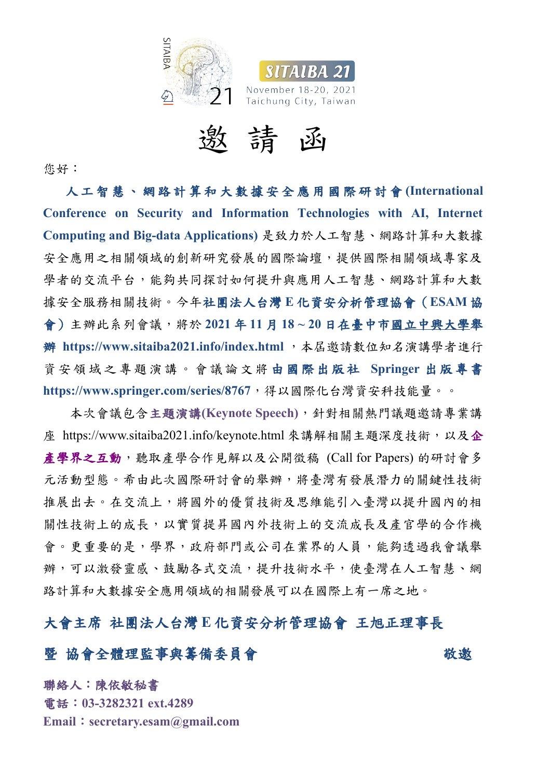



邀 請 函

您好:人 工 智 慧 、 網 路 計 算 和 大 數 據 安 全 應 用 國 際 研 討 會 **(International Conference on Security and Information Technologies with AI, Internet Computing and Big-data Applications)** 是致力於人工智慧、網路計算和大數據 安全應用之相關領域的創新研究發展的國際論壇,提供國際相關領域專家及 學者的交流平台,能夠共同探討如何提升與應用人工智慧、網路計算和大數 據安全服務相關技術。今年社團法人台灣 **E** 化資安分析管理協會(**ESAM** 協 會)主辦此系列會議,將於 **2021** 年 **11** 月 **18 ~ 20** 日在臺中市國立中興大學舉 **辦 https://www.sitaiba2021.info/index.html**, 本屆邀請數位知名演講學者進行 資 安 領 域 之 專 題 演 講 。 會 議 論 文 將 由 國 際 出 版 社 **Springer** 出 版 專 書

**https://www.springer.com/series/8767**,得以國際化台灣資安科技能量。。 本次會議包含主題演講**(Keynote Speech)**,針對相關熱門議題邀請專業講 座 https://www.sitaiba2021.info/keynote.html 來講解相關主題深度技術,以及企 產學界之互動,聽取產學合作見解以及公開徵稿 (Call for Papers)的研討會多 元活動型態。希由此次國際研討會的舉辦,將臺灣有發展潛力的關鍵性技術 推展出去。在交流上,將國外的優質技術及思維能引入臺灣以提升國內的相 關性技術上的成長,以實質提昇國內外技術上的交流成長及產官學的合作機 會。更重要的是,學界,政府部門或公司在業界的人員,能夠透過我會議舉 辦,可以激發靈感、鼓勵各式交流,提升技術水平,使臺灣在人工智慧、網 路計算和大數據安全應用領域的相關發展可以在國際上有一席之地。

大會主席 社團法人台灣 **E** 化資安分析管理協會 王旭正理事長

## 暨 協會全體理監事與籌備委員會 マン あいじょう 敬邀

聯絡人:陳依敏秘書 電話:**03-3282321 ext.4289 Email**:**secretary.esam@gmail.com**